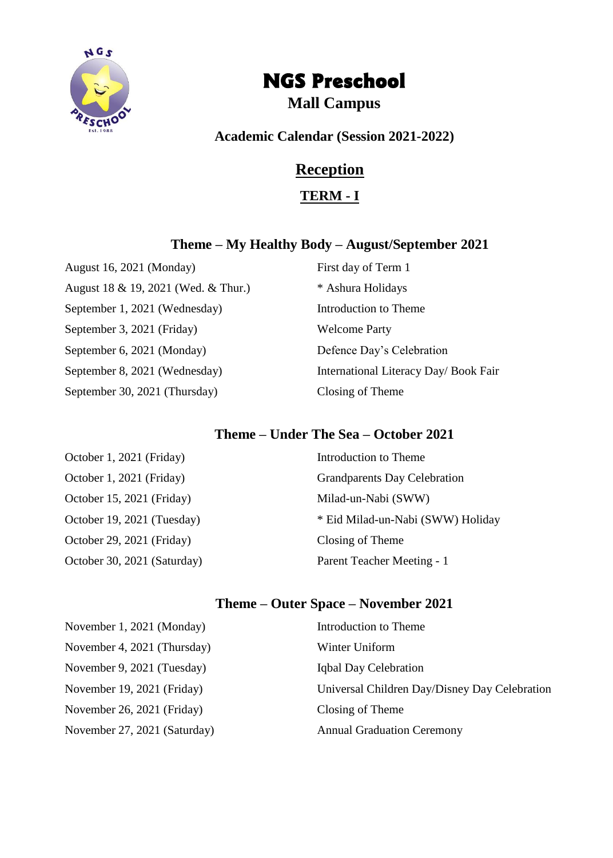

# NGS Preschool

# **Mall Campus**

**Academic Calendar (Session 2021-2022)**

# **Reception**

**TERM - I**

#### **Theme – My Healthy Body – August/September 2021**

August 16, 2021 (Monday) First day of Term 1 August 18 & 19, 2021 (Wed. & Thur.)  $*$  Ashura Holidays September 1, 2021 (Wednesday) Introduction to Theme September 3, 2021 (Friday) Welcome Party September 6, 2021 (Monday) Defence Day's Celebration September 8, 2021 (Wednesday) International Literacy Day/ Book Fair September 30, 2021 (Thursday) Closing of Theme

#### **Theme – Under The Sea – October 2021**

| Introduction to Theme               |
|-------------------------------------|
| <b>Grandparents Day Celebration</b> |
| Milad-un-Nabi (SWW)                 |
| * Eid Milad-un-Nabi (SWW) Holiday   |
| Closing of Theme                    |
| Parent Teacher Meeting - 1          |
|                                     |

# **Theme – Outer Space – November 2021**

| November 1, 2021 (Monday)    | Introduction to Theme                         |
|------------------------------|-----------------------------------------------|
| November 4, 2021 (Thursday)  | Winter Uniform                                |
| November 9, 2021 (Tuesday)   | Iqbal Day Celebration                         |
| November 19, 2021 (Friday)   | Universal Children Day/Disney Day Celebration |
| November 26, 2021 (Friday)   | Closing of Theme                              |
| November 27, 2021 (Saturday) | <b>Annual Graduation Ceremony</b>             |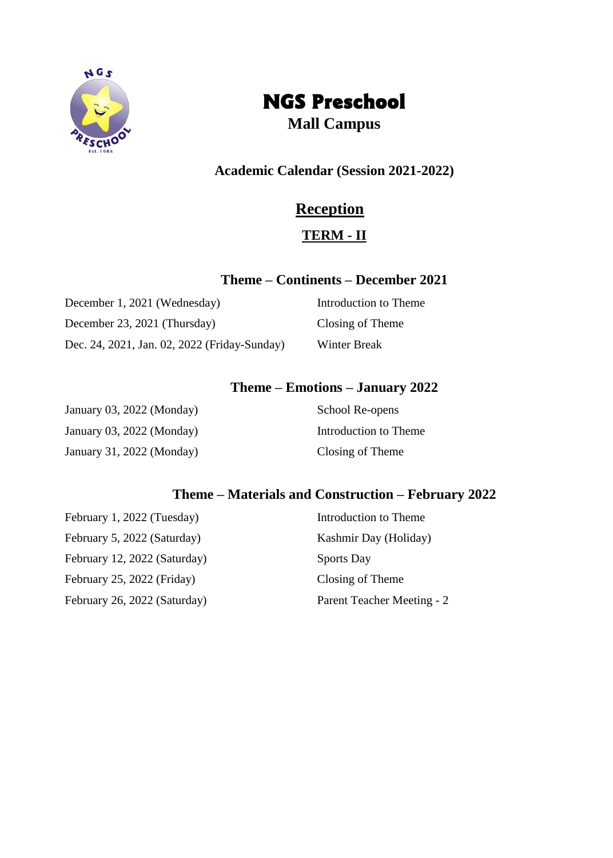

# NGS Preschool

**Mall Campus**

## **Academic Calendar (Session 2021-2022)**

# **Reception**

# **TERM - II**

### **Theme – Continents – December 2021**

December 1, 2021 (Wednesday) Introduction to Theme December 23, 2021 (Thursday) Closing of Theme Dec. 24, 2021, Jan. 02, 2022 (Friday-Sunday) Winter Break

## **Theme – Emotions – January 2022**

| January 03, 2022 (Monday) | School Re-opens       |
|---------------------------|-----------------------|
| January 03, 2022 (Monday) | Introduction to Theme |
| January 31, 2022 (Monday) | Closing of Theme      |

## **Theme – Materials and Construction – February 2022**

| February 1, 2022 (Tuesday)   | Introduction to Theme      |
|------------------------------|----------------------------|
| February 5, 2022 (Saturday)  | Kashmir Day (Holiday)      |
| February 12, 2022 (Saturday) | <b>Sports Day</b>          |
| February 25, 2022 (Friday)   | Closing of Theme           |
| February 26, 2022 (Saturday) | Parent Teacher Meeting - 2 |